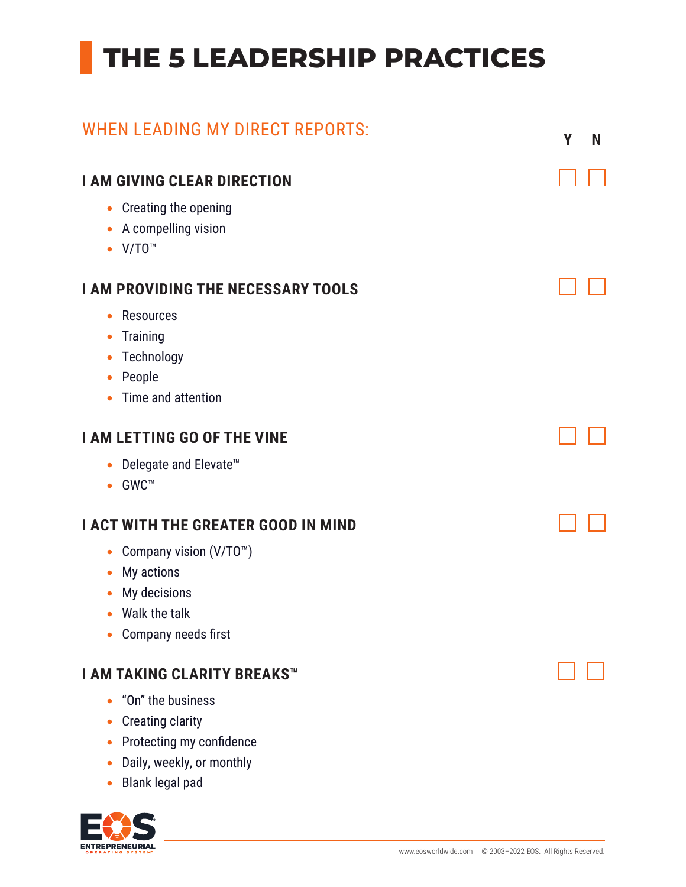## **THE 5 LEADERSHIP PRACTICES**

| <b>WHEN LEADING MY DIRECT REPORTS:</b>                                                                                                                                                      | Υ | N |
|---------------------------------------------------------------------------------------------------------------------------------------------------------------------------------------------|---|---|
| <b>I AM GIVING CLEAR DIRECTION</b><br>Creating the opening<br>$\bullet$<br>A compelling vision<br>$V/T0$ <sup>M</sup>                                                                       |   |   |
| <b>I AM PROVIDING THE NECESSARY TOOLS</b><br><b>Resources</b><br><b>Training</b><br>$\bullet$<br>Technology<br>$\bullet$<br>People<br>Time and attention                                    |   |   |
| <b>I AM LETTING GO OF THE VINE</b><br>Delegate and Elevate <sup>™</sup><br>GWC™<br>$\bullet$                                                                                                |   |   |
| <b>I ACT WITH THE GREATER GOOD IN MIND</b><br>Company vision (V/TO <sup>™</sup> )<br>$\bullet$<br>My actions<br>$\bullet$<br>My decisions<br>$\bullet$ Walk the talk<br>Company needs first |   |   |
| <b>I AM TAKING CLARITY BREAKS™</b><br>"On" the business<br><b>Creating clarity</b><br>Protecting my confidence<br>Daily, weekly, or monthly                                                 |   |   |

• Blank legal pad